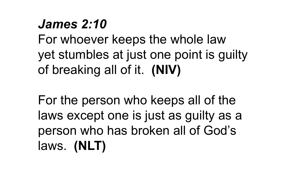## *James 2:10*

For whoever keeps the whole law yet stumbles at just one point is guilty of breaking all of it. **(NIV)**

For the person who keeps all of the laws except one is just as guilty as a person who has broken all of God's laws. **(NLT)**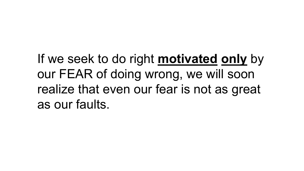If we seek to do right **motivated only** by our FEAR of doing wrong, we will soon realize that even our fear is not as great as our faults.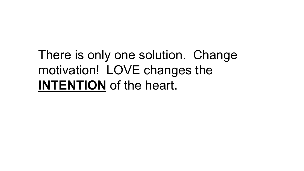# There is only one solution. Change motivation! LOVE changes the **INTENTION** of the heart.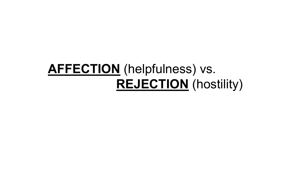# **AFFECTION** (helpfulness) vs. **REJECTION** (hostility)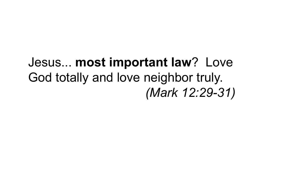#### Jesus... **most important law**? Love God totally and love neighbor truly. *(Mark 12:29-31)*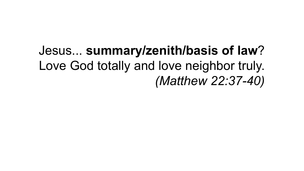# Jesus... **summary/zenith/basis of law**? Love God totally and love neighbor truly. *(Matthew 22:37-40)*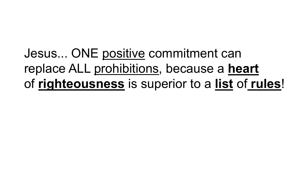Jesus... ONE positive commitment can replace ALL prohibitions, because a **heart** of **righteousness** is superior to a **list** of **rules**!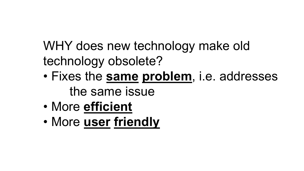WHY does new technology make old technology obsolete?

- Fixes the **same problem**, i.e. addresses the same issue
- More **efficient**
- More **user friendly**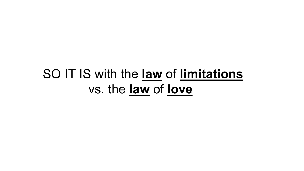#### SO IT IS with the **law** of **limitations** vs. the **law** of **love**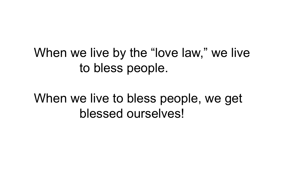#### When we live by the "love law," we live to bless people.

When we live to bless people, we get blessed ourselves!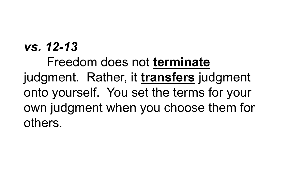#### *vs. 12-13*

Freedom does not **terminate** judgment. Rather, it **transfers** judgment onto yourself. You set the terms for your own judgment when you choose them for others.